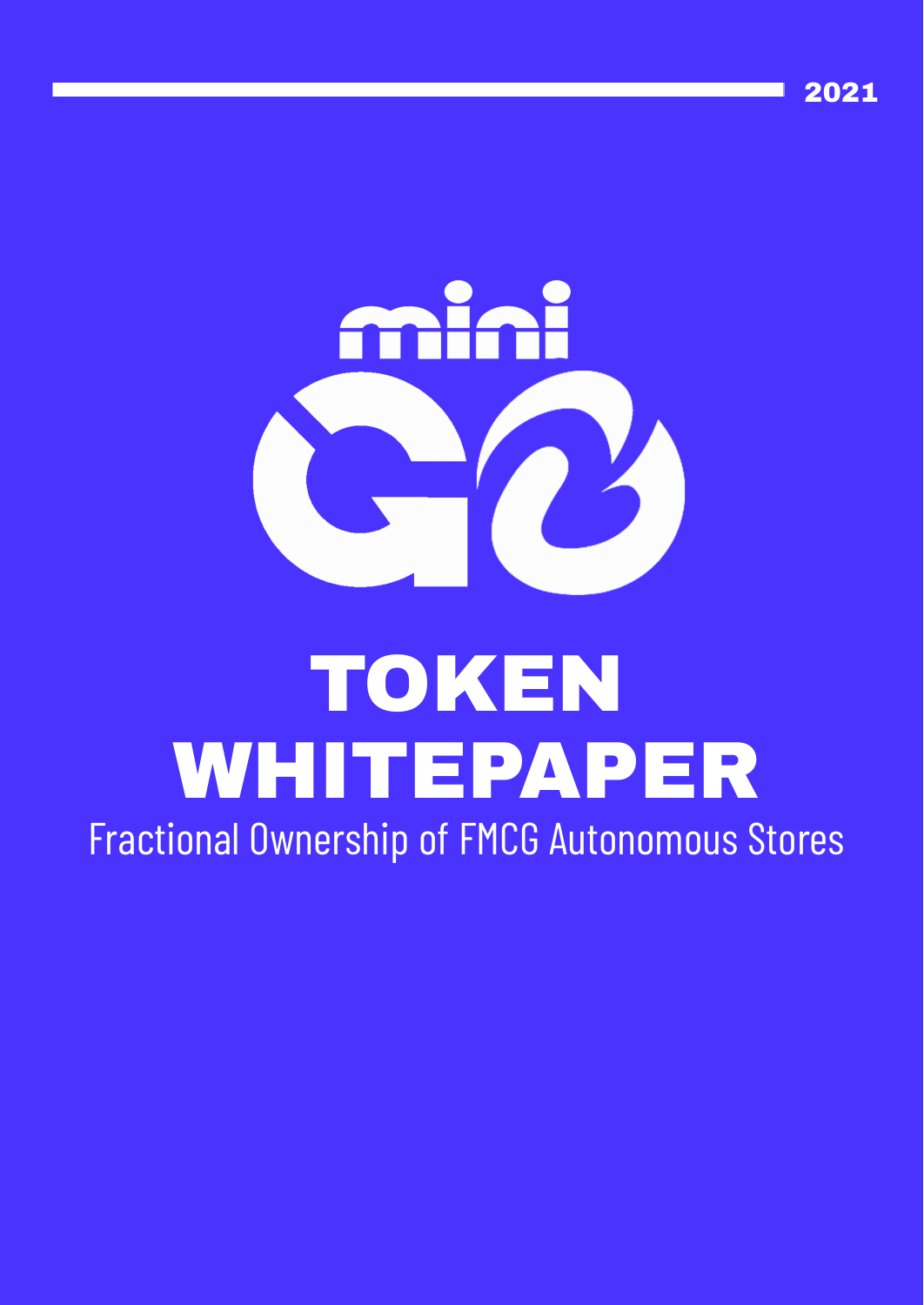



#### TOKEN WHITEPAPER Fractional Ownership of FMCG [Autonomous](https://go2future.com/en/front-page/) Stores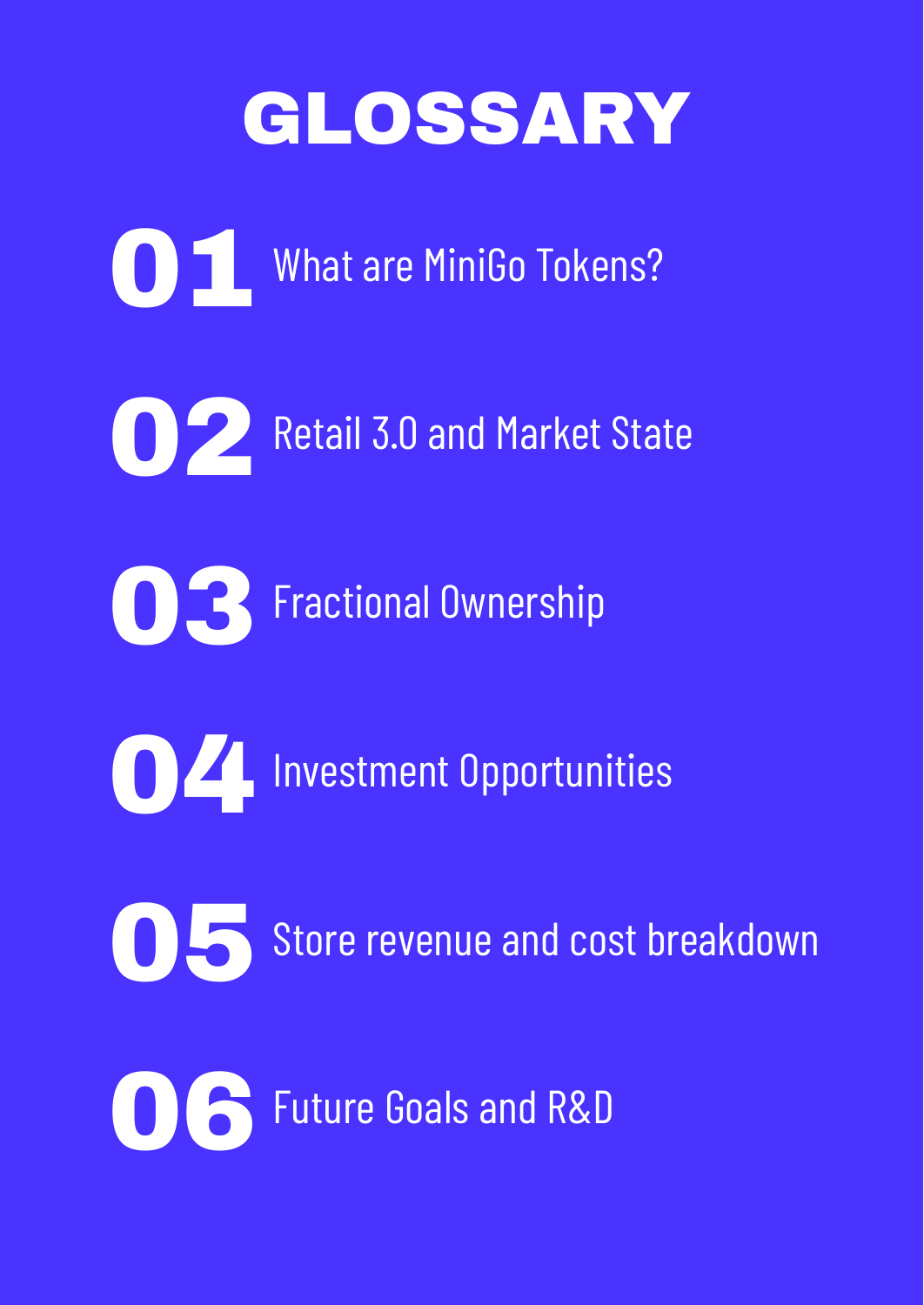#### GLOSSARY

ODE What are MiniGo Tokens? **02** Retail 3.0 and Market State OB Fractional Ownership 04Investment Opportunities OSS Store revenue and cost breakdown 06 Future Goals and R&D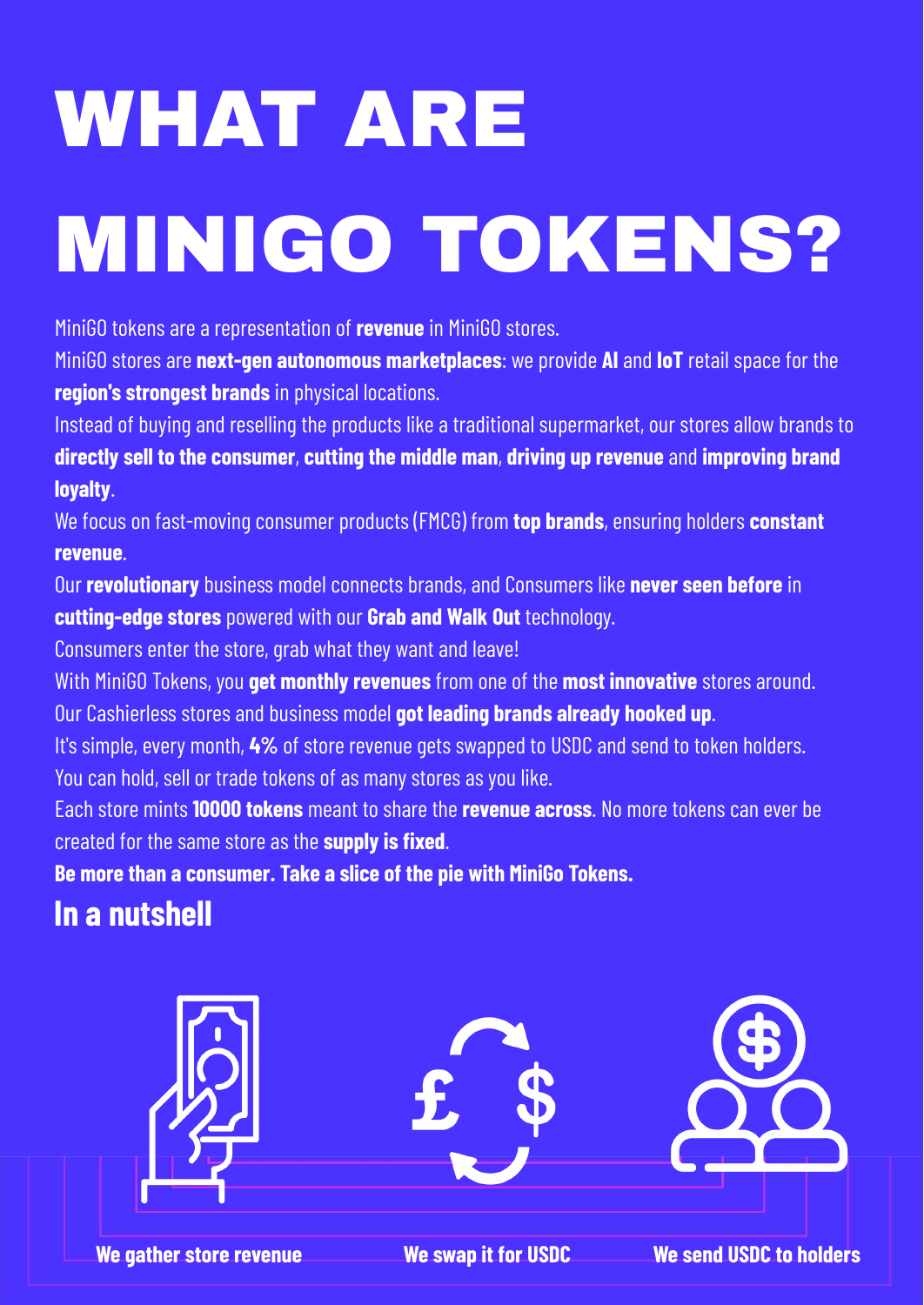# WHAT ARE MINIGO TOKENS?

MiniGO tokens are a representation of **revenue** in MiniGO stores.

MiniGO stores are **next-gen autonomous marketplaces**: we provide **AI** and **IoT** retail space for the **region's strongest brands** in physical locations.

Instead of buying and reselling the products like a traditional supermarket, our stores allow brands to **directly sell to the consumer**, **cutting the middle man**, **driving up revenue** and **improving brand loyalty**.

We focus on fast-moving consumer products (FMCG) from **top brands**, ensuring holders **constant revenue**.

Our **revolutionary** business model connects brands, and Consumers like **never seen before** in **cutting-edge stores** powered with our **Grab and Walk Out** technology.

Consumers enter the store, grab what they want and leave!

With MiniGO Tokens, you **get monthly revenues** from one of the **most innovative** stores around. Our Cashierless stores and business model **got leading brands already hooked up**.

It's simple, every month, **4%** of store revenue gets swapped to USDC and send to token holders. You can hold, sell or trade tokens of as many stores as you like.

Each store mints **10000 tokens** meant to share the **revenue across**. No more tokens can ever be created for the same store as the **supply is fixed**.

**Be more than a consumer. Take a slice of the pie with MiniGo Tokens.**

#### **In a nutshell**

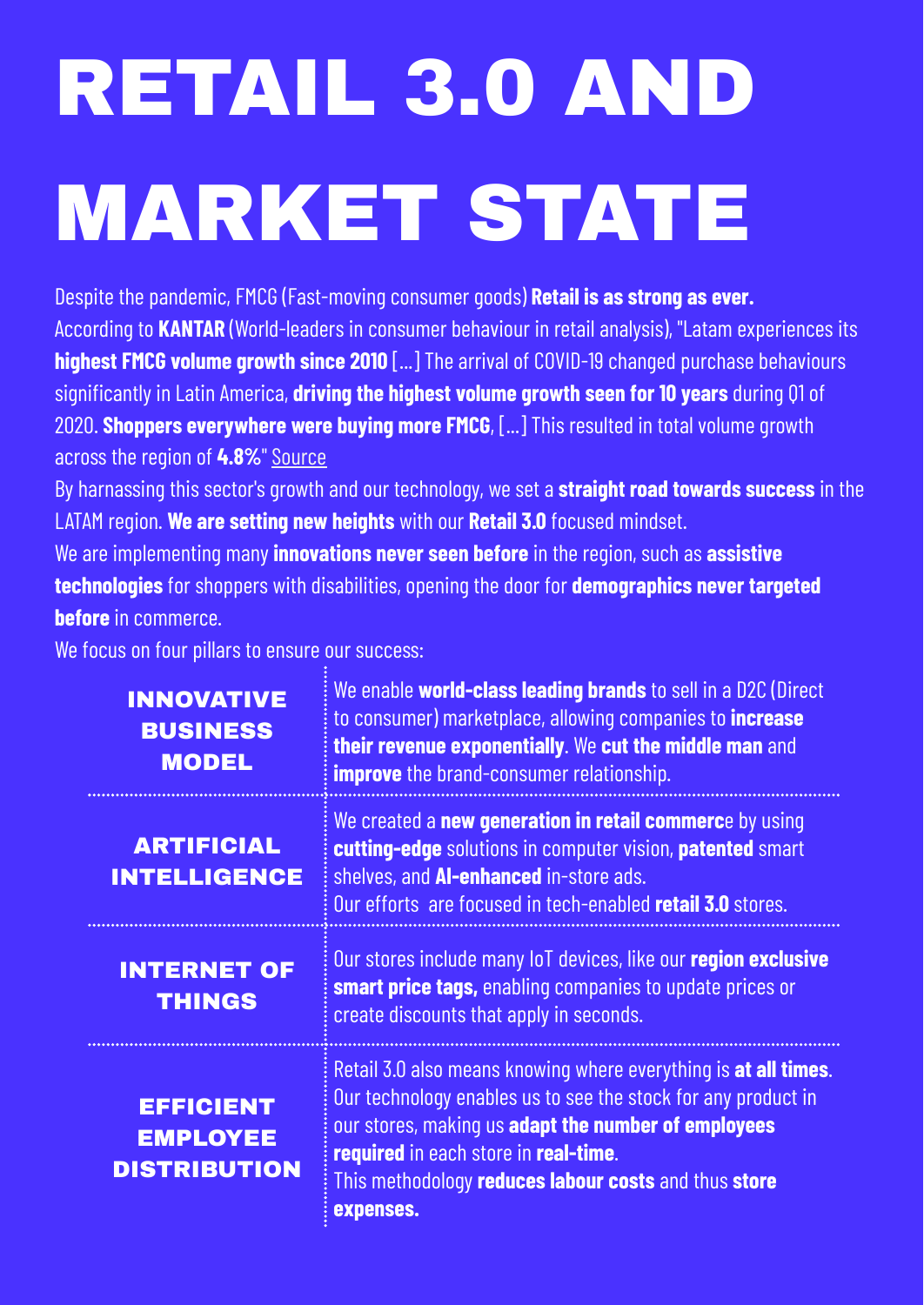### RETAIL 3.0 AND MARKET STATE

Despite the pandemic, FMCG (Fast-moving consumer goods) **Retail is as strong as ever.** According to **KANTAR** (World-leaders in consumer behaviour in retail analysis), "Latam experiences its **highest FMCG volume growth since 2010** [...] The arrival of COVID-19 changed purchase behaviours significantly in Latin America, **driving the highest volume growth seen for 10 years** during Q1 of 2020. **Shoppers everywhere were buying more FMCG**, [...] This resulted in total volume growth across the region of 4.8%" [Source](https://www.kantarworldpanel.com/ar/Noticias-/Winning-Omnichannel:-Foco-en-Latinoamerica-)

By harnassing this sector's growth and our technology, we set a **straight road towards success** in the LATAM region. **We are setting new heights** with our **Retail 3.0** focused mindset.

We are implementing many **innovations never seen before** in the region, such as **assistive technologies** for shoppers with disabilities, opening the door for **demographics never targeted before** in commerce.

We focus on four pillars to ensure our success:

| <b>INNOVATIVE</b><br><b>BUSINESS</b><br><b>MODEL</b>       | We enable world-class leading brands to sell in a D2C (Direct<br>to consumer) marketplace, allowing companies to <i>increase</i><br>their revenue exponentially. We cut the middle man and<br><b>improve</b> the brand-consumer relationship.                                                                      |
|------------------------------------------------------------|--------------------------------------------------------------------------------------------------------------------------------------------------------------------------------------------------------------------------------------------------------------------------------------------------------------------|
| <b>ARTIFICIAL</b><br><b>INTELLIGENCE</b>                   | We created a new generation in retail commerce by using<br>cutting-edge solutions in computer vision, patented smart<br>shelves, and Al-enhanced in-store ads.<br>Our efforts are focused in tech-enabled retail 3.0 stores.                                                                                       |
| <b>INTERNET OF</b><br><b>THINGS</b>                        | Our stores include many loT devices, like our region exclusive<br><b>smart price tags, enabling companies to update prices or</b><br>create discounts that apply in seconds.                                                                                                                                       |
| <b>EFFICIENT</b><br><b>EMPLOYEE</b><br><b>DISTRIBUTION</b> | Retail 3.0 also means knowing where everything is at all times.<br>Our technology enables us to see the stock for any product in<br>our stores, making us adapt the number of employees<br>required in each store in real-time.<br>This methodology <b>reduces labour costs</b> and thus <b>store</b><br>expenses. |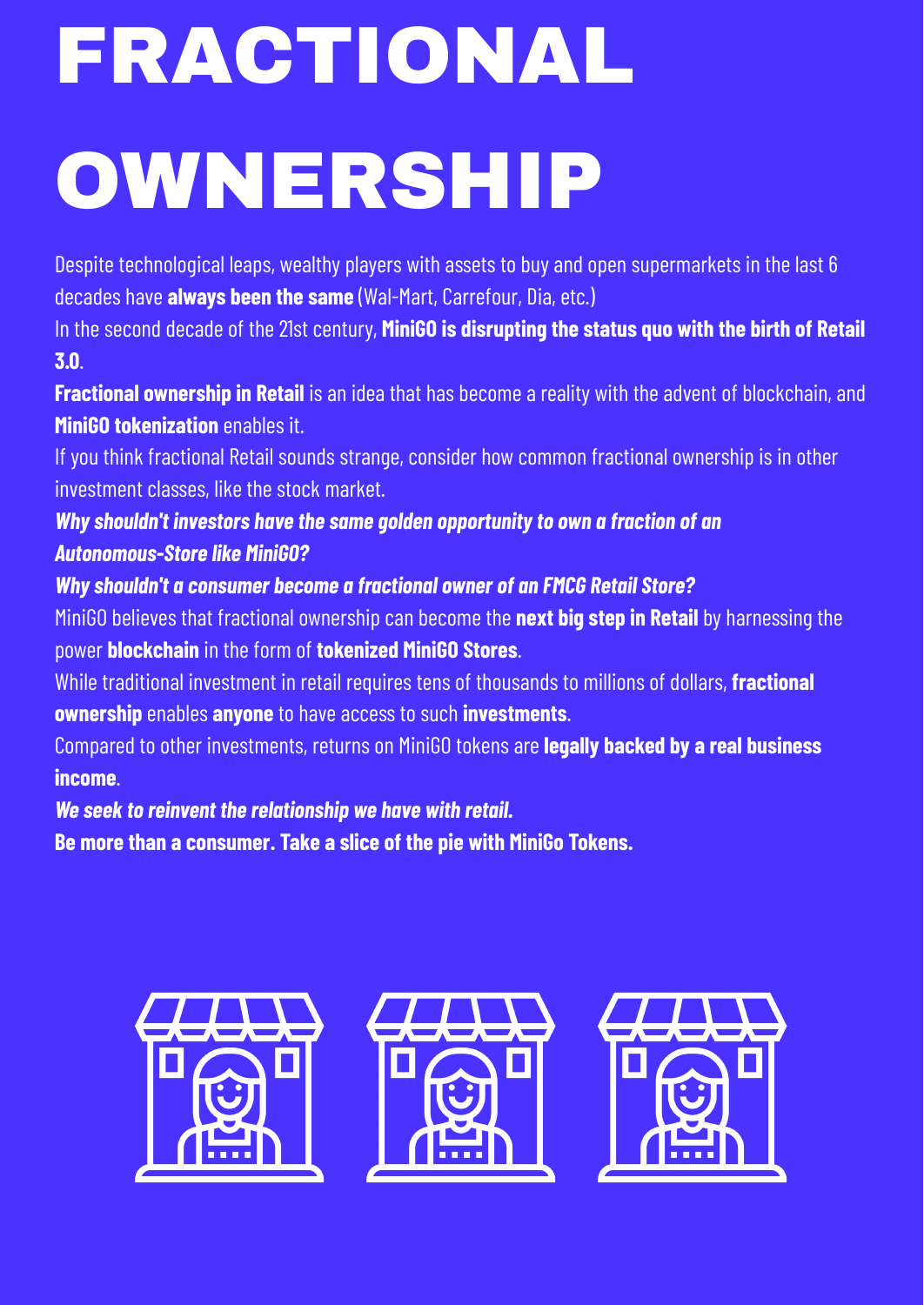## FRACTIONAL OWNERSHIP

Despite technological leaps, wealthy players with assets to buy and open supermarkets in the last 6 decades have **always been the same** (Wal-Mart, Carrefour, Dia, etc.)

In the second decade of the 21st century, **MiniGO is disrupting the status quo with the birth of Retail 3.0**.

**Fractional ownership in Retail** is an idea that has become a reality with the advent of blockchain, and **MiniGO tokenization** enables it.

If you think fractional Retail sounds strange, consider how common fractional ownership is in other investment classes, like the stock market.

*Why shouldn't investors have the same golden opportunity to own a fraction of an Autonomous-Store like MiniGO?*

*Why shouldn't a consumer become a fractional owner of an FMCG Retail Store?*

MiniGO believes that fractional ownership can become the **next big step in Retail** by harnessing the power **blockchain** in the form of **tokenized MiniGO Stores**.

While traditional investment in retail requires tens of thousands to millions of dollars, **fractional ownership** enables **anyone** to have access to such **investments**.

Compared to other investments, returns on MiniGO tokens are **legally backed by a real business income**.

*We seek to reinvent the relationship we have with retail.*

**Be more than a consumer. Take a slice of the pie with MiniGo Tokens.**

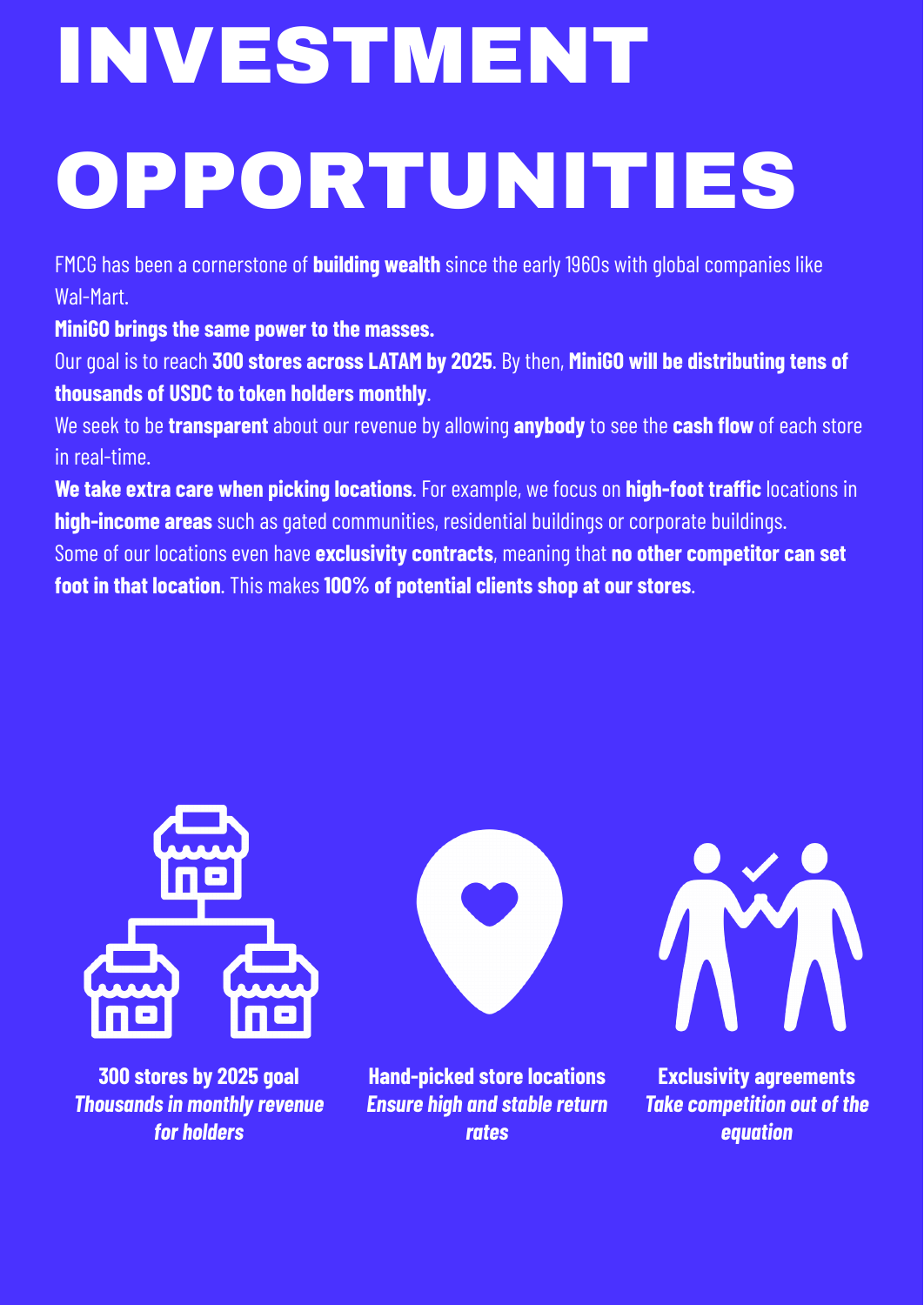## INVESTMENT OPPORTUNITIES

FMCG has been a cornerstone of **building wealth** since the early 1960s with global companies like Wal-Mart.

**MiniGO brings the same power to the masses.**

Our goal is to reach **300 stores across LATAM by 2025**. By then, **MiniGO will be distributing tens of thousands of USDC to token holders monthly**.

We seek to be **transparent** about our revenue by allowing **anybody** to see the **cash flow** of each store in real-time.

**We take extra care when picking locations**. For example, we focus on **high-foot traffic** locations in **high-income areas** such as gated communities, residential buildings or corporate buildings. Some of our locations even have **exclusivity contracts**, meaning that **no other competitor can set foot in that location**. This makes **100% of potential clients shop at our stores**.



**300 stores by 2025 goal** *Thousandsin monthly revenue for holders*



**Hand-picked store locations** *Ensure high and stable return rates*



**Exclusivity agreements** *Take competition out of the equation*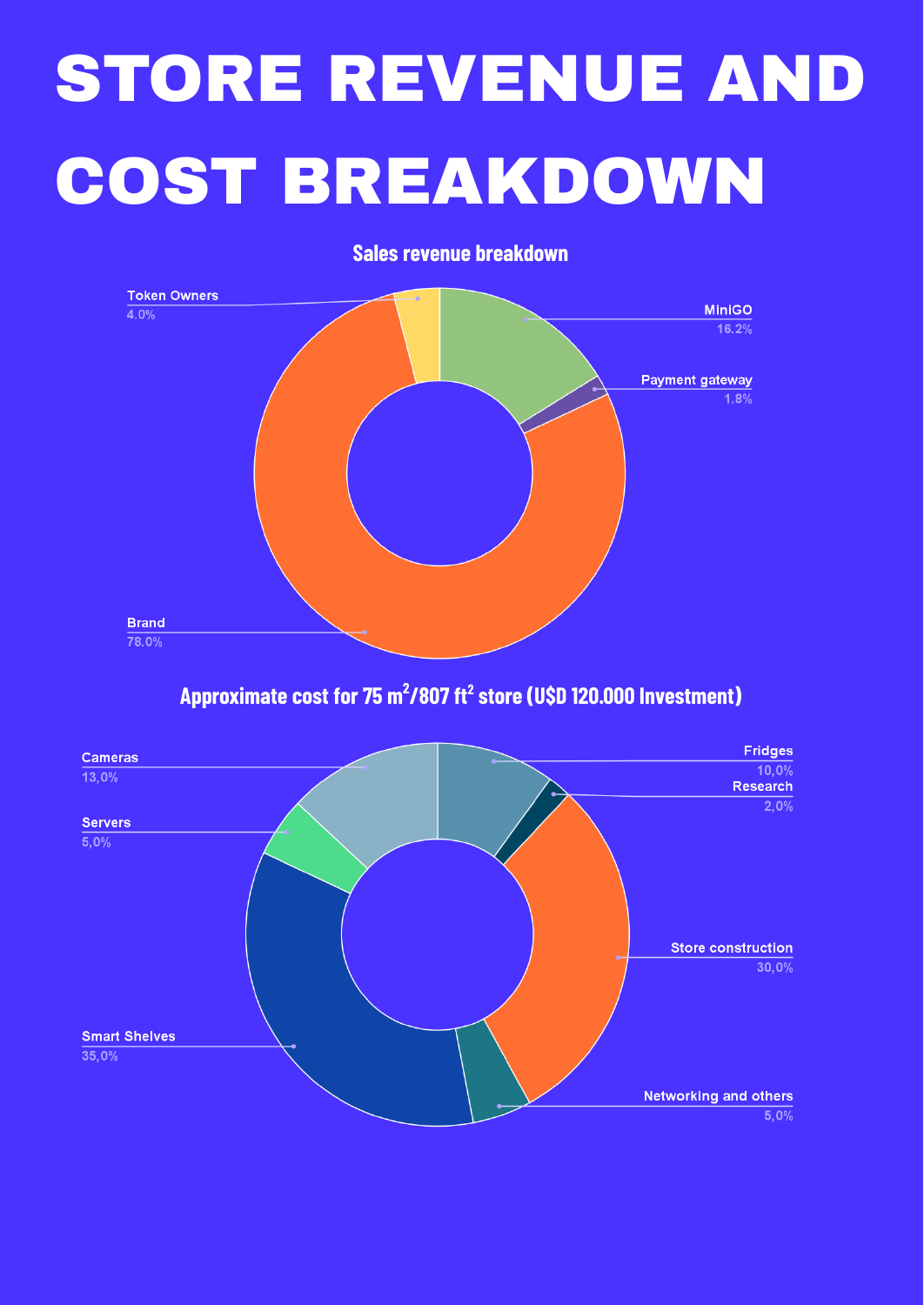### STORE REVENUE AND COST BREAKDOWN

**Sales revenue breakdown**



**Approximate cost for 75 m<sup>2</sup> /807 ft <sup>2</sup> store (U\$D 120.000 Investment)**

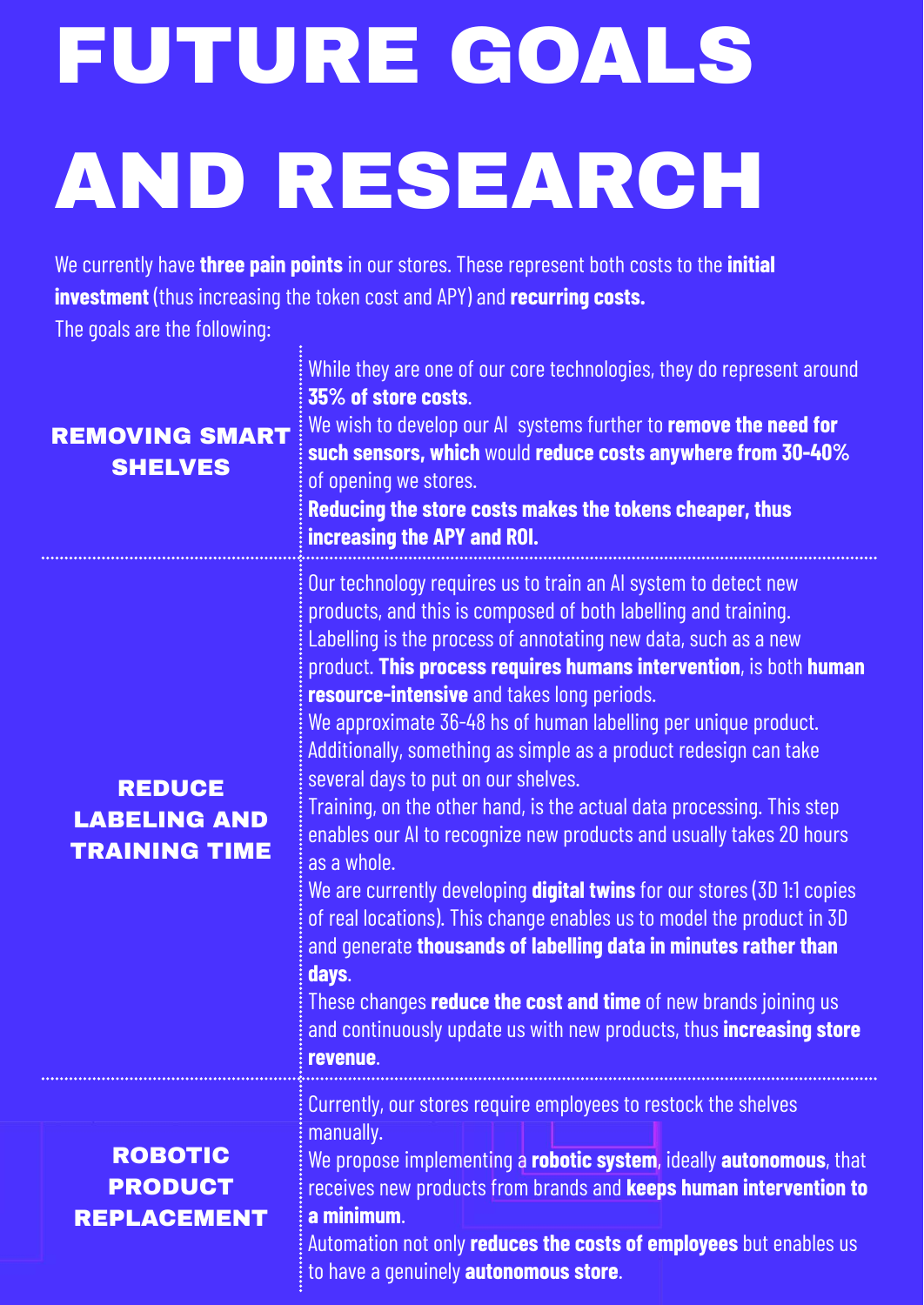## FUTURE GOALS AND RESEARCH

We currently have **three pain points** in our stores. These represent both costs to the **initial investment** (thus increasing the token cost and APY) and **recurring costs.**

The goals are the following:

| <b>REMOVING SMART</b><br><b>SHELVES</b>                      | While they are one of our core technologies, they do represent around<br>35% of store costs.<br>We wish to develop our AI systems further to remove the need for<br>such sensors, which would reduce costs anywhere from 30-40%<br>of opening we stores.<br>Reducing the store costs makes the tokens cheaper, thus<br>increasing the APY and ROI.                                                                                                                                                                                                                                                                                                                                                                                                                                                                                                                                                                                                                                                                                                                           |
|--------------------------------------------------------------|------------------------------------------------------------------------------------------------------------------------------------------------------------------------------------------------------------------------------------------------------------------------------------------------------------------------------------------------------------------------------------------------------------------------------------------------------------------------------------------------------------------------------------------------------------------------------------------------------------------------------------------------------------------------------------------------------------------------------------------------------------------------------------------------------------------------------------------------------------------------------------------------------------------------------------------------------------------------------------------------------------------------------------------------------------------------------|
| <b>REDUCE</b><br><b>LABELING AND</b><br><b>TRAINING TIME</b> | Our technology requires us to train an AI system to detect new<br>products, and this is composed of both labelling and training.<br>Labelling is the process of annotating new data, such as a new<br>product. This process requires humans intervention, is both human<br>resource-intensive and takes long periods.<br>We approximate 36-48 hs of human labelling per unique product.<br>Additionally, something as simple as a product redesign can take<br>several days to put on our shelves.<br>Training, on the other hand, is the actual data processing. This step<br>enables our AI to recognize new products and usually takes 20 hours<br>as a whole.<br>We are currently developing <b>digital twins</b> for our stores (3D 1:1 copies<br>of real locations). This change enables us to model the product in 3D<br>and generate thousands of labelling data in minutes rather than<br>days.<br>These changes <b>reduce the cost and time</b> of new brands joining us<br>and continuously update us with new products, thus <b>increasing store</b><br>revenue. |
| <b>ROBOTIC</b><br><b>PRODUCT</b><br><b>REPLACEMENT</b>       | Currently, our stores require employees to restock the shelves<br>manually.<br>We propose implementing a <b>robotic system</b> , ideally <b>autonomous</b> , that<br>receives new products from brands and keeps human intervention to<br>a minimum.<br>Automation not only reduces the costs of employees but enables us<br>to have a genuinely <b>autonomous store</b> .                                                                                                                                                                                                                                                                                                                                                                                                                                                                                                                                                                                                                                                                                                   |